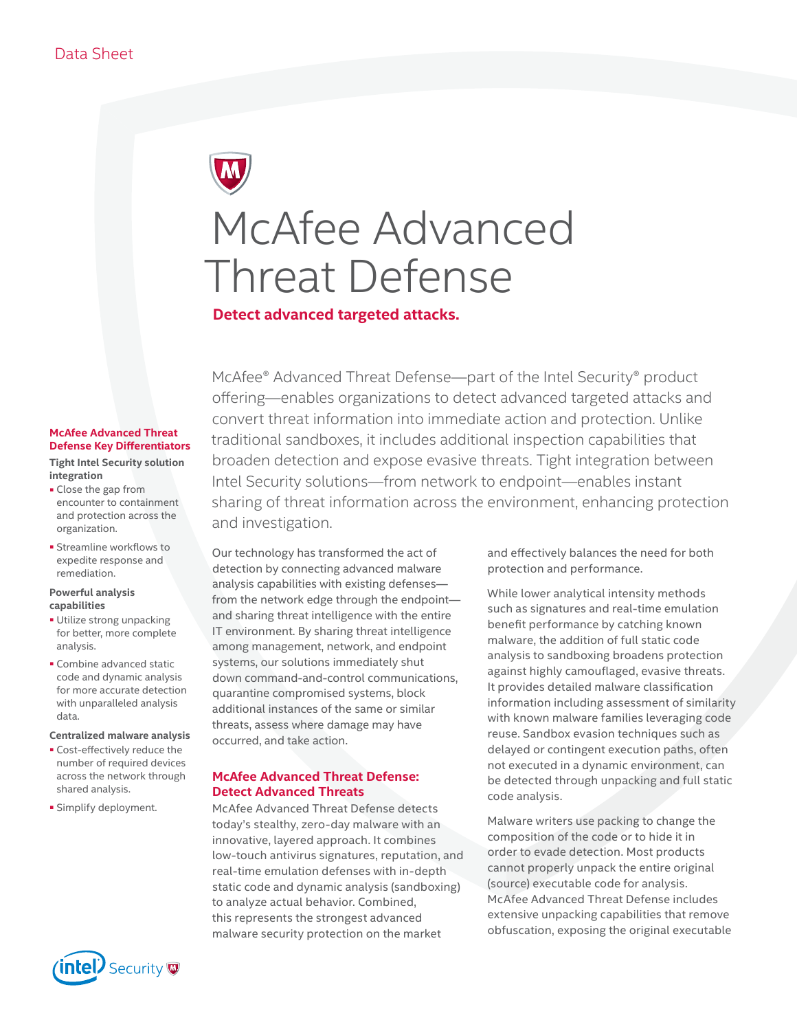# McAfee Advanced Threat Defense

**Detect advanced targeted attacks.**

# **McAfee Advanced Threat Defense Key Differentiators**

**Tight Intel Security solution integration**

- Close the gap from encounter to containment and protection across the organization.
- Streamline workflows to expedite response and remediation.

#### **Powerful analysis capabilities**

- Utilize strong unpacking for better, more complete analysis.
- Combine advanced static code and dynamic analysis for more accurate detection with unparalleled analysis data.

#### **Centralized malware analysis**

- Cost-effectively reduce the number of required devices across the network through shared analysis.
- Simplify deployment.



McAfee® Advanced Threat Defense—part of the Intel Security® product offering—enables organizations to detect advanced targeted attacks and convert threat information into immediate action and protection. Unlike traditional sandboxes, it includes additional inspection capabilities that broaden detection and expose evasive threats. Tight integration between Intel Security solutions—from network to endpoint—enables instant sharing of threat information across the environment, enhancing protection and investigation.

Our technology has transformed the act of detection by connecting advanced malware analysis capabilities with existing defenses from the network edge through the endpoint and sharing threat intelligence with the entire IT environment. By sharing threat intelligence among management, network, and endpoint systems, our solutions immediately shut down command-and-control communications, quarantine compromised systems, block additional instances of the same or similar threats, assess where damage may have occurred, and take action.

### **McAfee Advanced Threat Defense: Detect Advanced Threats**

McAfee Advanced Threat Defense detects today's stealthy, zero-day malware with an innovative, layered approach. It combines low-touch antivirus signatures, reputation, and real-time emulation defenses with in-depth static code and dynamic analysis (sandboxing) to analyze actual behavior. Combined, this represents the strongest advanced malware security protection on the market

and effectively balances the need for both protection and performance.

While lower analytical intensity methods such as signatures and real-time emulation benefit performance by catching known malware, the addition of full static code analysis to sandboxing broadens protection against highly camouflaged, evasive threats. It provides detailed malware classification information including assessment of similarity with known malware families leveraging code reuse. Sandbox evasion techniques such as delayed or contingent execution paths, often not executed in a dynamic environment, can be detected through unpacking and full static code analysis.

Malware writers use packing to change the composition of the code or to hide it in order to evade detection. Most products cannot properly unpack the entire original (source) executable code for analysis. McAfee Advanced Threat Defense includes extensive unpacking capabilities that remove obfuscation, exposing the original executable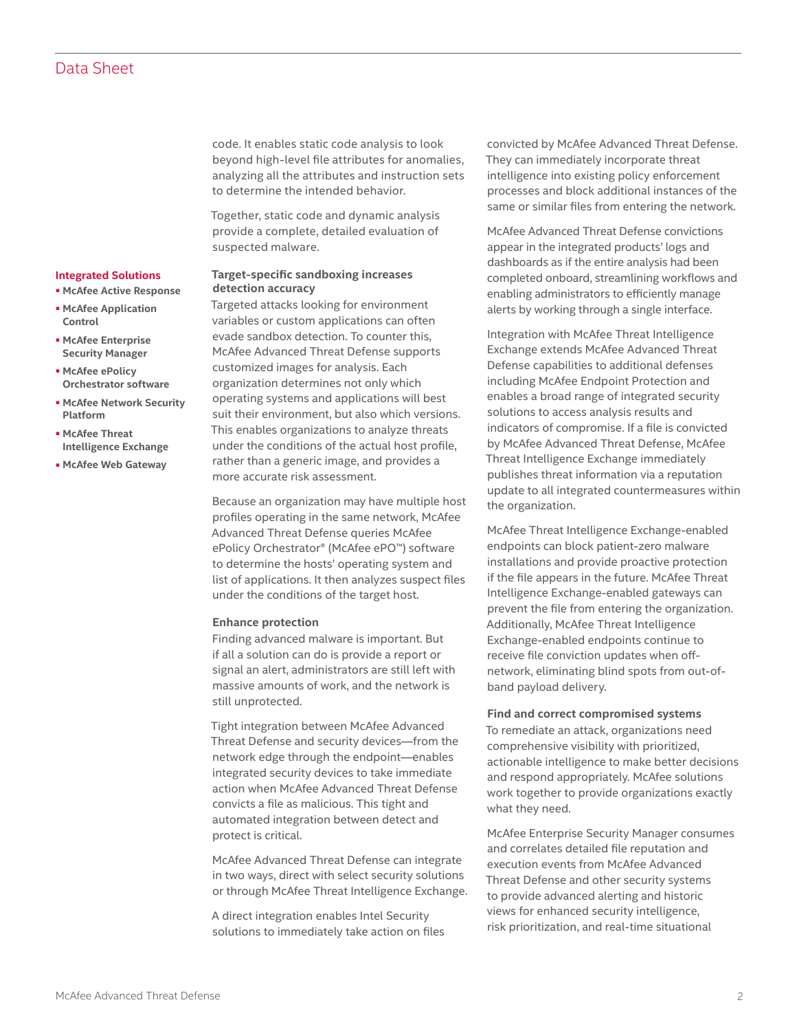code. It enables static code analysis to look beyond high-level file attributes for anomalies, analyzing all the attributes and instruction sets to determine the intended behavior.

Together, static code and dynamic analysis provide a complete, detailed evaluation of suspected malware.

#### **Target-specific sandboxing increases detection accuracy**

Targeted attacks looking for environment variables or custom applications can often evade sandbox detection. To counter this, McAfee Advanced Threat Defense supports customized images for analysis. Each organization determines not only which operating systems and applications will best suit their environment, but also which versions. This enables organizations to analyze threats under the conditions of the actual host profile, rather than a generic image, and provides a more accurate risk assessment.

Because an organization may have multiple host profiles operating in the same network, McAfee Advanced Threat Defense queries McAfee ePolicy Orchestrator® (McAfee ePO™) software to determine the hosts' operating system and list of applications. It then analyzes suspect files under the conditions of the target host.

#### **Enhance protection**

Finding advanced malware is important. But if all a solution can do is provide a report or signal an alert, administrators are still left with massive amounts of work, and the network is still unprotected.

Tight integration between McAfee Advanced Threat Defense and security devices—from the network edge through the endpoint—enables integrated security devices to take immediate action when McAfee Advanced Threat Defense convicts a file as malicious. This tight and automated integration between detect and protect is critical.

McAfee Advanced Threat Defense can integrate in two ways, direct with select security solutions or through McAfee Threat Intelligence Exchange.

A direct integration enables Intel Security solutions to immediately take action on files convicted by McAfee Advanced Threat Defense. They can immediately incorporate threat intelligence into existing policy enforcement processes and block additional instances of the same or similar files from entering the network.

McAfee Advanced Threat Defense convictions appear in the integrated products' logs and dashboards as if the entire analysis had been completed onboard, streamlining workflows and enabling administrators to efficiently manage alerts by working through a single interface.

Integration with McAfee Threat Intelligence Exchange extends McAfee Advanced Threat Defense capabilities to additional defenses including McAfee Endpoint Protection and enables a broad range of integrated security solutions to access analysis results and indicators of compromise. If a file is convicted by McAfee Advanced Threat Defense, McAfee Threat Intelligence Exchange immediately publishes threat information via a reputation update to all integrated countermeasures within the organization.

McAfee Threat Intelligence Exchange-enabled endpoints can block patient-zero malware installations and provide proactive protection if the file appears in the future. McAfee Threat Intelligence Exchange-enabled gateways can prevent the file from entering the organization. Additionally, McAfee Threat Intelligence Exchange-enabled endpoints continue to receive file conviction updates when offnetwork, eliminating blind spots from out-ofband payload delivery.

#### **Find and correct compromised systems**

To remediate an attack, organizations need comprehensive visibility with prioritized, actionable intelligence to make better decisions and respond appropriately. McAfee solutions work together to provide organizations exactly what they need.

McAfee Enterprise Security Manager consumes and correlates detailed file reputation and execution events from McAfee Advanced Threat Defense and other security systems to provide advanced alerting and historic views for enhanced security intelligence, risk prioritization, and real-time situational

## ■ **McAfee Application Control**

**Integrated Solutions** ■ **McAfee Active Response**

- **[McAfee Enterprise](http://www.mcafee.com/siem)  [Security Manager](http://www.mcafee.com/siem)**  ■ **[McAfee ePolicy](http://www.mcafee.com/epo)**
- **[Orchestrator software](http://www.mcafee.com/epo)**
- **[McAfee Network Security](http://www.mcafee.com/nsp)  [Platform](http://www.mcafee.com/nsp)**
- **[McAfee Threat](http://www.mcafee.com/tie)  [Intelligence Exchange](http://www.mcafee.com/tie)**
- **[McAfee Web Gateway](http://www.mcafee.com/webgateway)**